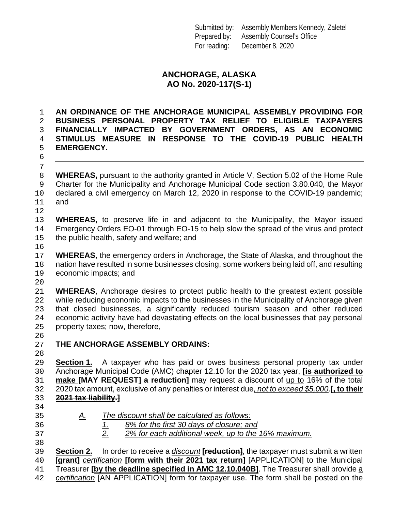Submitted by: Assembly Members Kennedy, Zaletel Prepared by: Assembly Counsel's Office For reading: December 8, 2020

## **ANCHORAGE, ALASKA AO No. 2020-117(S-1)**

 **AN ORDINANCE OF THE ANCHORAGE MUNICIPAL ASSEMBLY PROVIDING FOR BUSINESS PERSONAL PROPERTY TAX RELIEF TO ELIGIBLE TAXPAYERS FINANCIALLY IMPACTED BY GOVERNMENT ORDERS, AS AN ECONOMIC STIMULUS MEASURE IN RESPONSE TO THE COVID-19 PUBLIC HEALTH EMERGENCY.** 6

8 **WHEREAS,** pursuant to the authority granted in Article V, Section 5.02 of the Home Rule<br>9 **Charter for the Municipality and Anchorage Municipal Code section 3.80.040, the Mavor** 9 Charter for the Municipality and Anchorage Municipal Code section 3.80.040, the Mayor<br>declared a civil emergency on March 12, 2020 in response to the COVID-19 pandemic: 10 declared a civil emergency on March 12, 2020 in response to the COVID-19 pandemic;<br>11 and and

 $\begin{array}{c} 12 \\ 13 \end{array}$ 13 **WHEREAS,** to preserve life in and adjacent to the Municipality, the Mayor issued 14 **Emergency Orders EO-01** through EO-15 to help slow the spread of the virus and protect 14 Emergency Orders EO-01 through EO-15 to help slow the spread of the virus and protect <br>15 the public health, safety and welfare; and the public health, safety and welfare; and

17 **WHEREAS**, the emergency orders in Anchorage, the State of Alaska, and throughout the 18 Ination have resulted in some businesses closing, some workers being laid off, and resulting 18 | nation have resulted in some businesses closing, some workers being laid off, and resulting<br>19 | economic impacts; and economic impacts; and

 $\frac{20}{21}$ 21 **WHEREAS**, Anchorage desires to protect public health to the greatest extent possible 22 while reducing economic impacts to the businesses in the Municipality of Anchorage given 22 while reducing economic impacts to the businesses in the Municipality of Anchorage given<br>23 that closed businesses, a significantly reduced tourism season and other reduced 23 that closed businesses, a significantly reduced tourism season and other reduced 24 economic activity have had devastating effects on the local businesses that pay personal 24 economic activity have had devastating effects on the local businesses that pay personal 25 property taxes: now, therefore, property taxes; now, therefore,

**THE ANCHORAGE ASSEMBLY ORDAINS:** 

7

16<br>17

26<br>27

34<br>35

28<br>29 **Section 1.** A taxpayer who has paid or owes business personal property tax under<br>30 Anchorage Municipal Code (AMC) chapter 12.10 for the 2020 tax vear, lis authorized to Anchorage Municipal Code (AMC) chapter 12.10 for the 2020 tax year, **[is authorized to make [MAY REQUEST] a reduction]** may request a discount of up to 16% of the total 2020 tax amount, exclusive of any penalties or interest due*, not to exceed \$5,000*.**[, to their 2021 tax liability.]**

- 
- 35 *A. The discount shall be calculated as follows:* 36 *1. 8% for the first 30 days of closure; and* 
	- 37 *2. 2% for each additional week, up to the 16% maximum.*

38<br>39 39 **Section 2.** In order to receive a *discount* **[reduction]**, the taxpayer must submit a written 40 [**grant]** *certification* **[form with their 2021 tax return]** [APPLICATION] to the Municipal 41 Treasurer **[by the deadline specified in AMC 12.10.040B]**. The Treasurer shall provide a lead on the section of the section of the section of the section of the section of the section of the section the section the sect 42 *certification* [AN APPLICATION] form for taxpayer use. The form shall be posted on the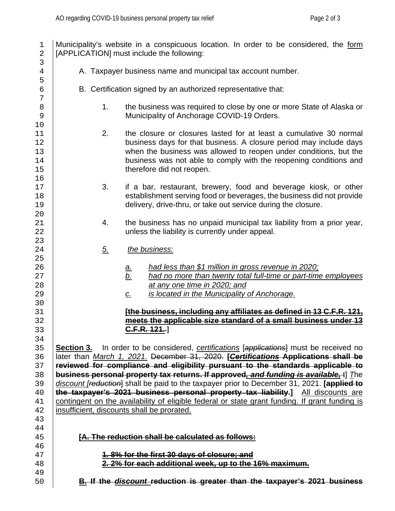1 | Municipality's website in a conspicuous location. In order to be considered, the form 2 | [APPLICATION] must include the following: [APPLICATION] must include the following: 3 A. Taxpayer business name and municipal tax account number. 5 B. Certification signed by an authorized representative that: 7 1. the business was required to close by one or more State of Alaska or 9 Municipality of Anchorage COVID-19 Orders. 10<br>11 11 2. the closure or closures lasted for at least a cumulative 30 normal<br>12 business davs for that business. A closure period may include davs 12 business days for that business. A closure period may include days<br>13 https://whenthethusiness.was.allowed.to.reopen.under.conditions.but.the 13 when the business was allowed to reopen under conditions, but the 14 business was not able to comply with the reopening conditions and 14 business was not able to comply with the reopening conditions and<br>15 therefore did not reopen. therefore did not reopen. 16<br>17 17 3. if a bar, restaurant, brewery, food and beverage kiosk, or other<br>18 establishment serving food or beverages, the business did not provide establishment serving food or beverages, the business did not provide 19 delivery, drive-thru, or take out service during the closure.  $\frac{20}{21}$ 21 4. the business has no unpaid municipal tax liability from a prior year,<br>22 unless the liability is currently under appeal. unless the liability is currently under appeal.  $\frac{23}{24}$ 24 *5. the business:*  25<br>26 26 *a. had less than \$1 million in gross revenue in 2020;*  27 *b. had no more than twenty total full-time or part-time employees*  28 **at any one time in 2020; and**<br>29 *c.* is located in the Municipality 29 *c. is located in the Municipality of Anchorage.* 30<br>31 31 **[the business, including any affiliates as defined in 13 C.F.R. 121,**  32 **meets the applicable size standard of a small business under 13**<br>33 **C.F.R. 121.**-1 33 **C.F.R. 121. ]** 34<br>35 35 **Section 3.** In order to be considered, *certifications* [*applications*] must be received no 36 later than *March 1, 2021.* December 31, 2020. **[***Certifications* **Applications shall be**  37 **reviewed for compliance and eligibility pursuant to the standards applicable to**  38 **business personal property tax returns. If approved***, and funding is available,* t] *T*he 39 *discount [reduction*] shall be paid to the taxpayer prior to December 31, 2021. **[applied to**  40 **the taxpayer's 2021 business personal property tax liability.]** All discounts are <br>41 contingent on the availability of eligible federal or state grant funding. If grant funding is  $\frac{41}{42}$  contingent on the availability of eligible federal or state grant funding. If grant funding is  $\frac{42}{4}$ insufficient, discounts shall be prorated. 43 44<br>45 45 **[A. The reduction shall be calculated as follows:** 46<br>47 47 **1. 8% for the first 30 days of closure; and** 2. 2% for each additional week, up to the 16% maximum. 49<br>50 50 **B. If the** *discount* **reduction is greater than the taxpayer's 2021 business**